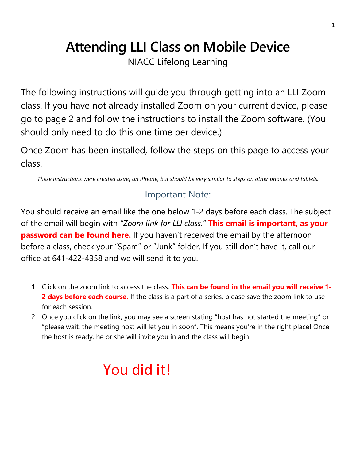## **Attending LLI Class on Mobile Device**

NIACC Lifelong Learning

The following instructions will guide you through getting into an LLI Zoom class. If you have not already installed Zoom on your current device, please go to page 2 and follow the instructions to install the Zoom software. (You should only need to do this one time per device.)

Once Zoom has been installed, follow the steps on this page to access your class.

*These instructions were created using an iPhone, but should be very similar to steps on other phones and tablets.*

## Important Note:

You should receive an email like the one below 1-2 days before each class. The subject of the email will begin with *"Zoom link for LLI class."* **This email is important, as your password can be found here.** If you haven't received the email by the afternoon before a class, check your "Spam" or "Junk" folder. If you still don't have it, call our office at 641-422-4358 and we will send it to you.

- 1. Click on the zoom link to access the class. **This can be found in the email you will receive 1-** 2 days before each course. If the class is a part of a series, please save the zoom link to use for each session.
- 2. Once you click on the link, you may see a screen stating "host has not started the meeting" or "please wait, the meeting host will let you in soon". This means you're in the right place! Once the host is ready, he or she will invite you in and the class will begin.

## You did it!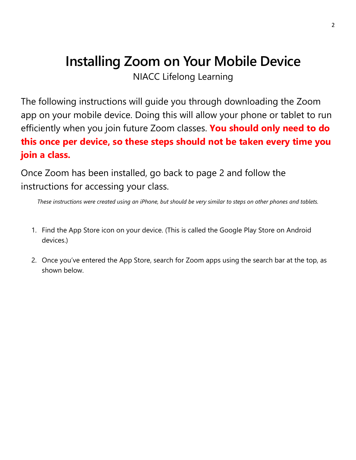## **Installing Zoom on Your Mobile Device**

NIACC Lifelong Learning

The following instructions will guide you through downloading the Zoom app on your mobile device. Doing this will allow your phone or tablet to run efficiently when you join future Zoom classes. **You should only need to do this once per device, so these steps should not be taken every time you join a class.**

Once Zoom has been installed, go back to page 2 and follow the instructions for accessing your class.

*These instructions were created using an iPhone, but should be very similar to steps on other phones and tablets.*

- 1. Find the App Store icon on your device. (This is called the Google Play Store on Android devices.)
- 2. Once you've entered the App Store, search for Zoom apps using the search bar at the top, as shown below.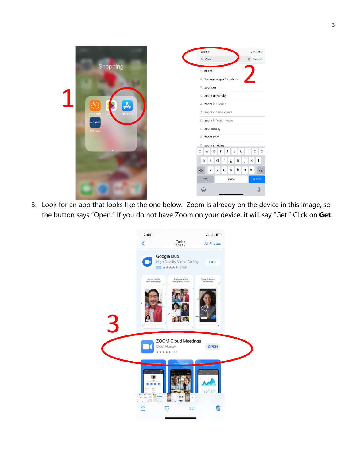

3. Look for an app that looks like the one below. Zoom is already on the device in this image, so the button says "Open." If you do not have Zoom on your device, it will say "Get." Click on **Get**.